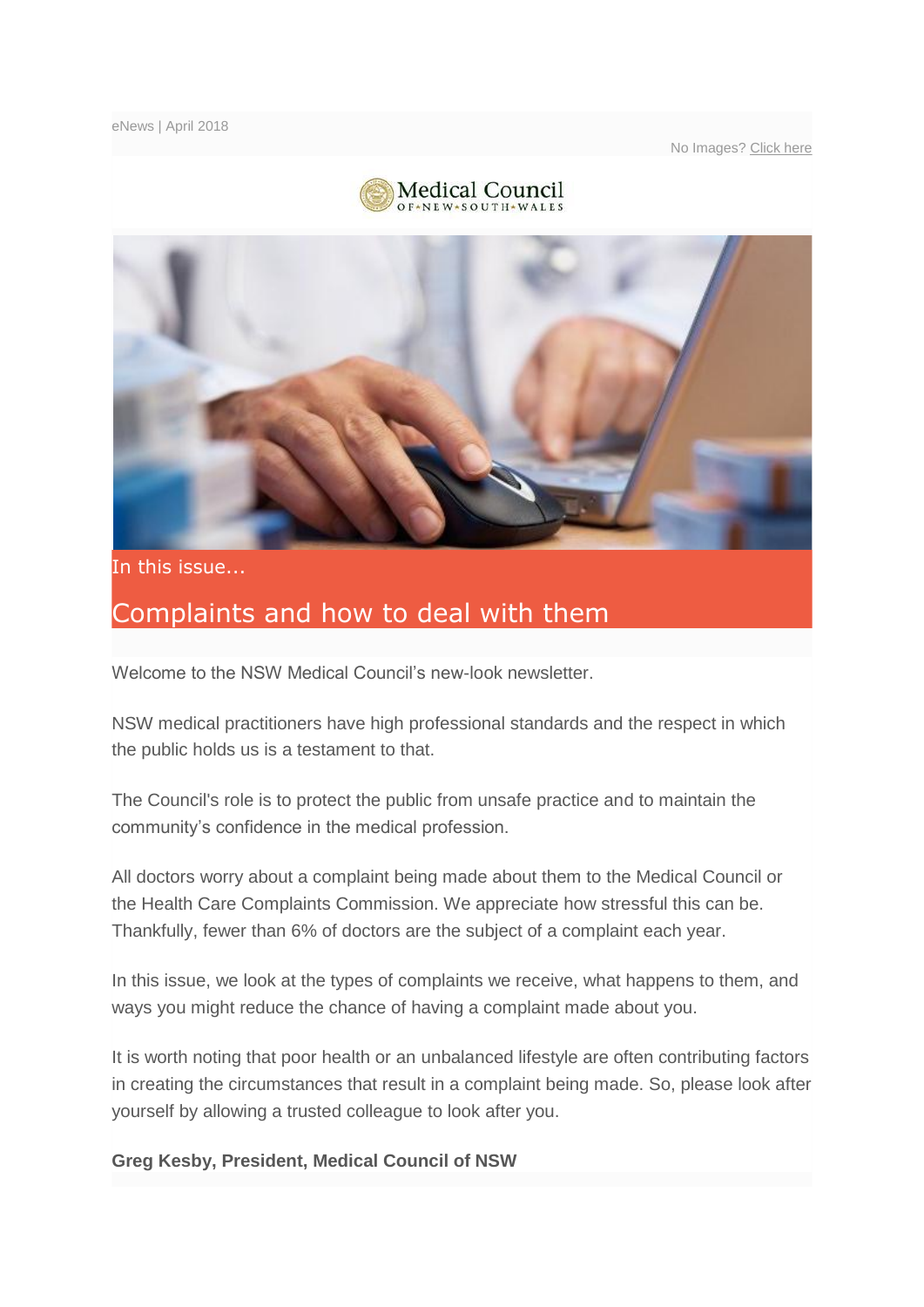No Images? [Click here](http://medicalcouncilofnsw.createsend1.com/t/j-e-bitne-l-yh/)





In this issue...

# Complaints and how to deal with them

Welcome to the NSW Medical Council's new-look newsletter.

NSW medical practitioners have high professional standards and the respect in which the public holds us is a testament to that.

The Council's role is to protect the public from unsafe practice and to maintain the community's confidence in the medical profession.

All doctors worry about a complaint being made about them to the Medical Council or the Health Care Complaints Commission. We appreciate how stressful this can be. Thankfully, fewer than 6% of doctors are the subject of a complaint each year.

In this issue, we look at the types of complaints we receive, what happens to them, and ways you might reduce the chance of having a complaint made about you.

It is worth noting that poor health or an unbalanced lifestyle are often contributing factors in creating the circumstances that result in a complaint being made. So, please look after yourself by allowing a trusted colleague to look after you.

**Greg Kesby, President, Medical Council of NSW**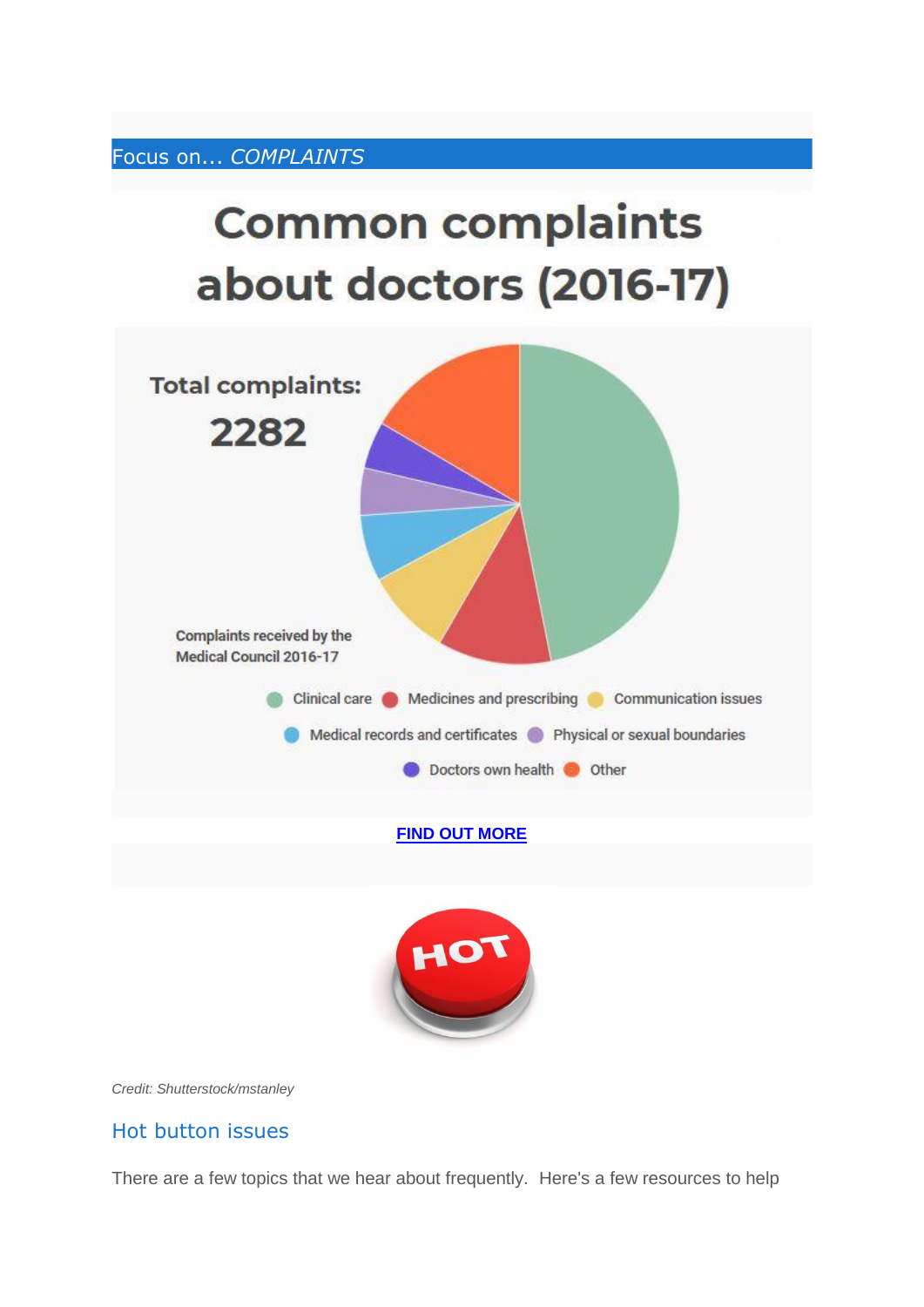Focus on... *COMPLAINTS*

# **Common complaints** about doctors (2016-17)





*Credit: Shutterstock/mstanley*

#### Hot button issues

There are a few topics that we hear about frequently. Here's a few resources to help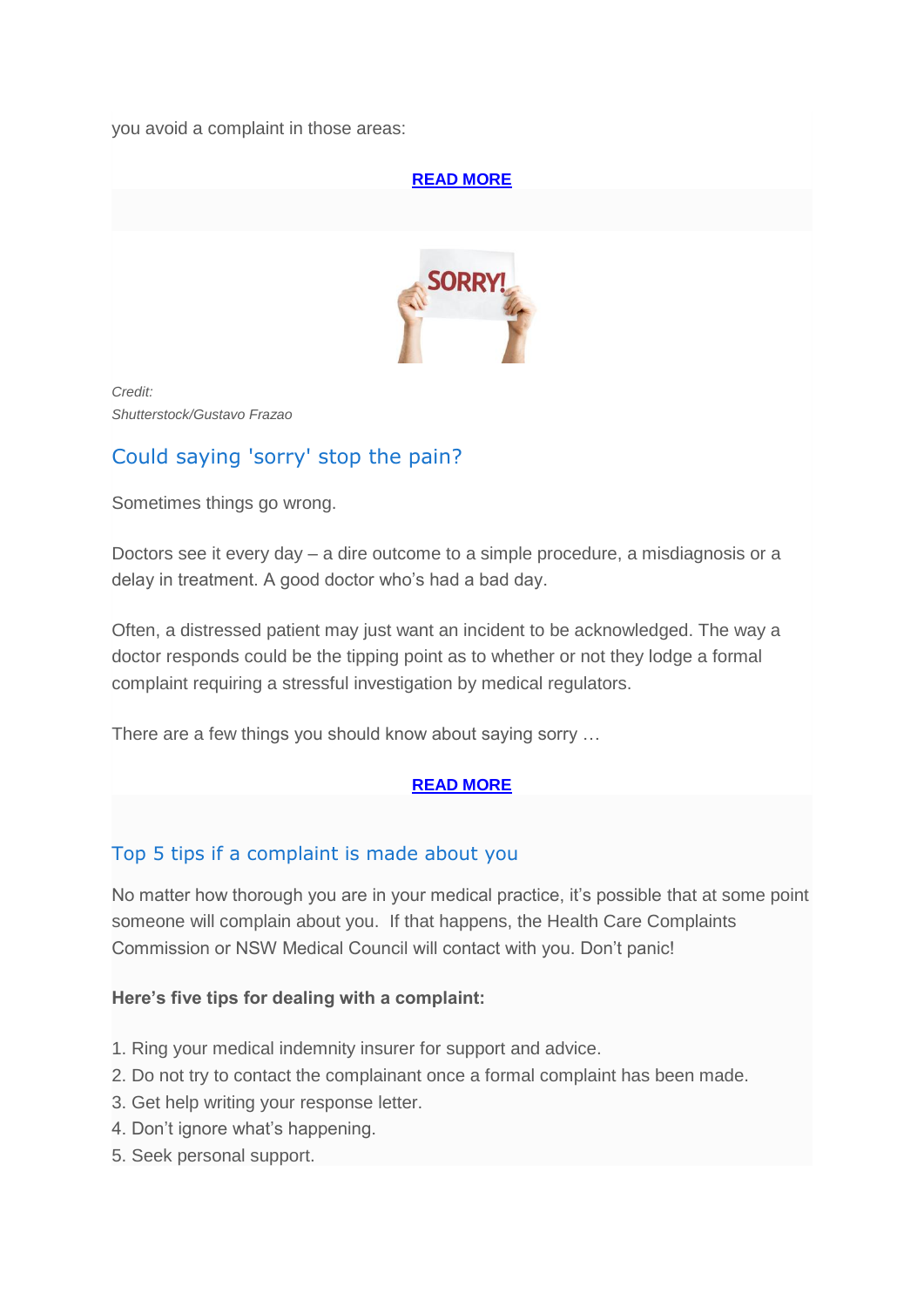you avoid a complaint in those areas:

## **[READ MORE](http://medicalcouncilofnsw.createsend1.com/t/j-l-bitne-l-t/)**



*Credit: Shutterstock/Gustavo Frazao*

## Could saying 'sorry' stop the pain?

Sometimes things go wrong.

Doctors see it every day – a dire outcome to a simple procedure, a misdiagnosis or a delay in treatment. A good doctor who's had a bad day.

Often, a distressed patient may just want an incident to be acknowledged. The way a doctor responds could be the tipping point as to whether or not they lodge a formal complaint requiring a stressful investigation by medical regulators.

There are a few things you should know about saying sorry …

#### **[READ MORE](http://medicalcouncilofnsw.createsend1.com/t/j-l-bitne-l-i/)**

## Top 5 tips if a complaint is made about you

No matter how thorough you are in your medical practice, it's possible that at some point someone will complain about you. If that happens, the Health Care Complaints Commission or NSW Medical Council will contact with you. Don't panic!

#### **Here's five tips for dealing with a complaint:**

- 1. Ring your medical indemnity insurer for support and advice.
- 2. Do not try to contact the complainant once a formal complaint has been made.
- 3. Get help writing your response letter.
- 4. Don't ignore what's happening.
- 5. Seek personal support.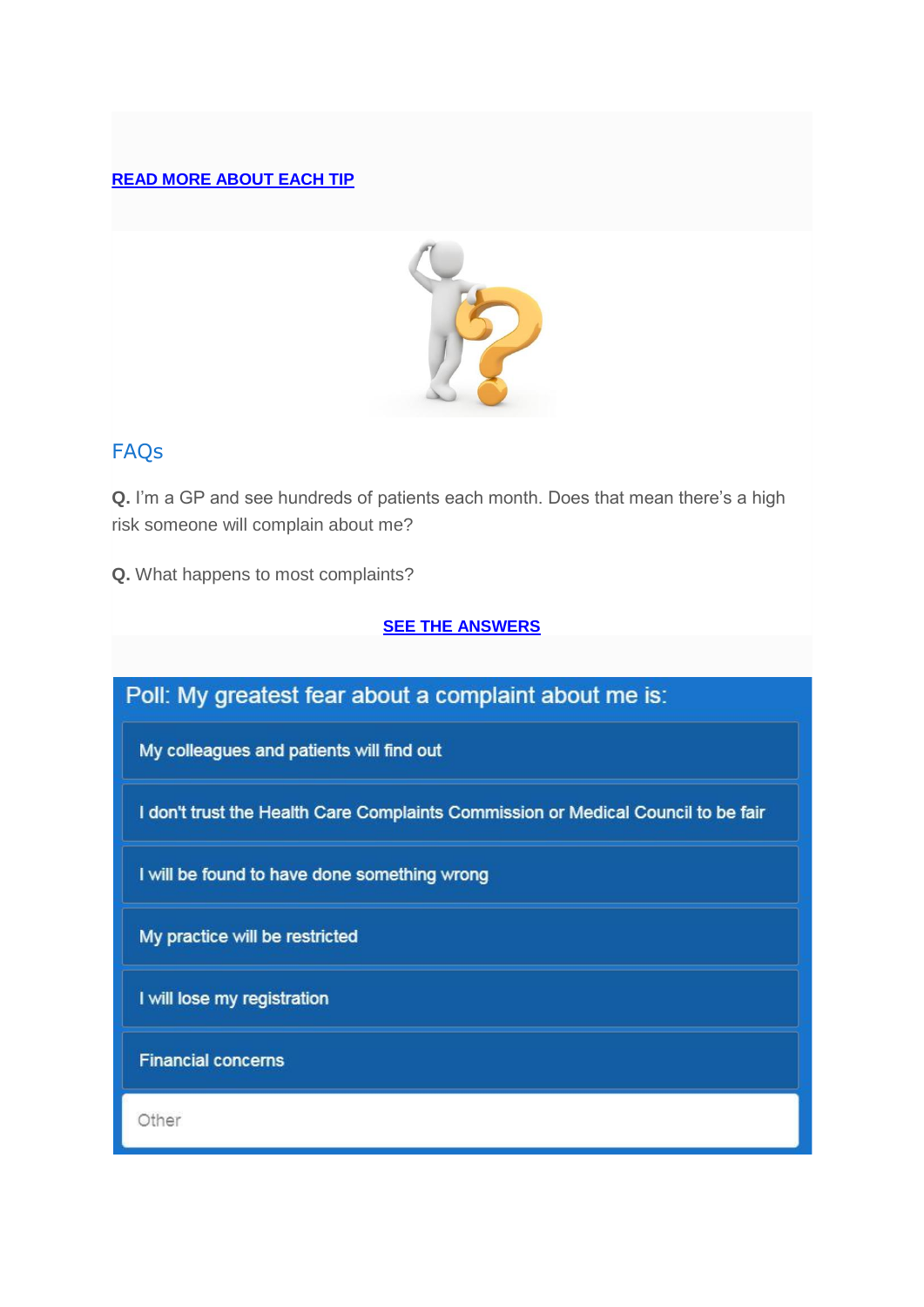#### **[READ MORE ABOUT EACH TIP](http://medicalcouncilofnsw.createsend1.com/t/j-l-bitne-l-d/)**



## FAQs

**Q.** I'm a GP and see hundreds of patients each month. Does that mean there's a high risk someone will complain about me?

**Q.** What happens to most complaints?

#### **[SEE THE ANSWERS](http://medicalcouncilofnsw.createsend1.com/t/j-l-bitne-l-h/)**

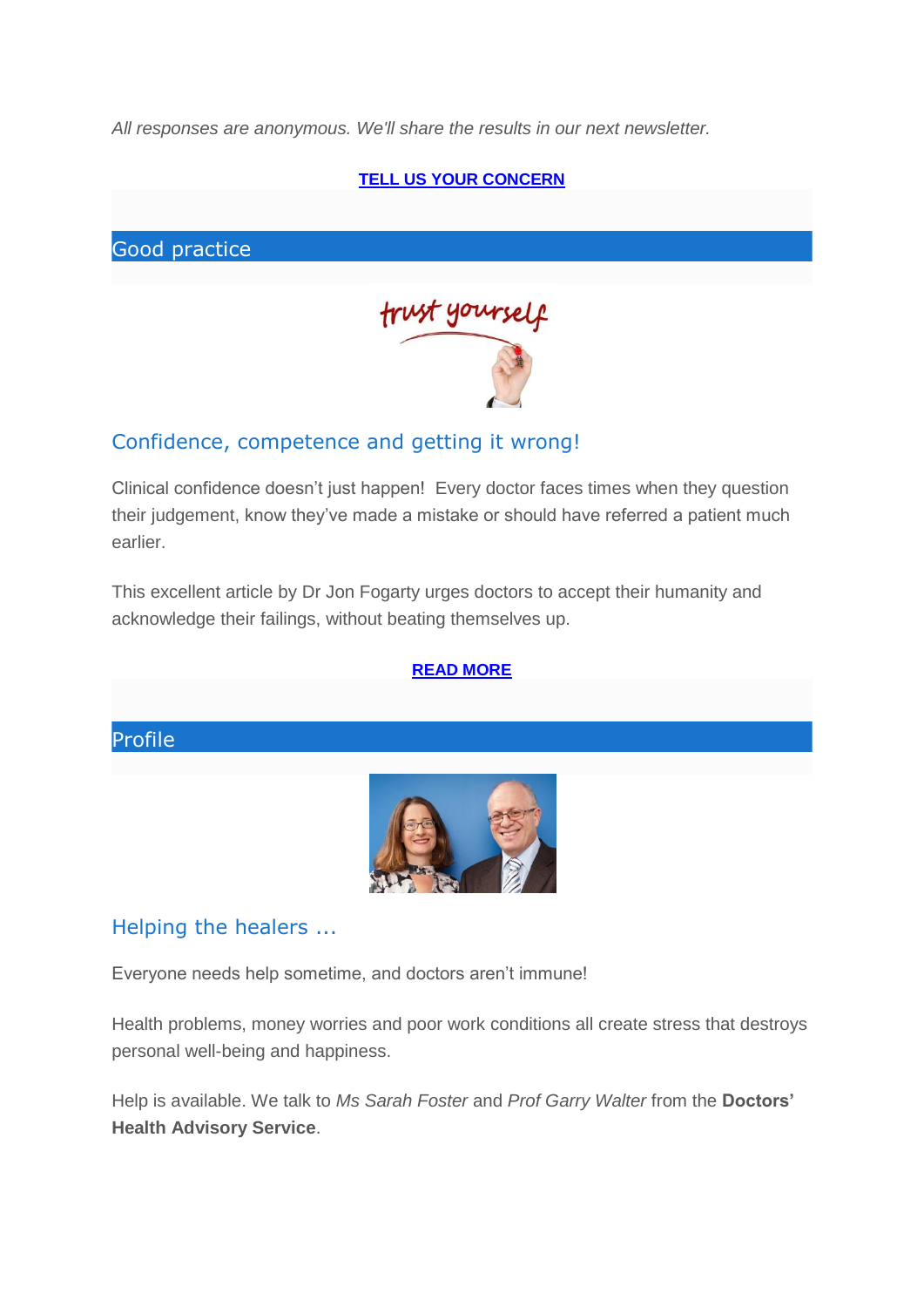*All responses are anonymous. We'll share the results in our next newsletter.*



## Confidence, competence and getting it wrong!

Clinical confidence doesn't just happen! Every doctor faces times when they question their judgement, know they've made a mistake or should have referred a patient much earlier.

This excellent article by Dr Jon Fogarty urges doctors to accept their humanity and acknowledge their failings, without beating themselves up.

#### **[READ MORE](http://medicalcouncilofnsw.createsend1.com/t/j-l-bitne-l-c/)**

## Profile



#### Helping the healers ...

Everyone needs help sometime, and doctors aren't immune!

Health problems, money worries and poor work conditions all create stress that destroys personal well-being and happiness.

Help is available. We talk to *Ms Sarah Foster* and *Prof Garry Walter* from the **Doctors' Health Advisory Service**.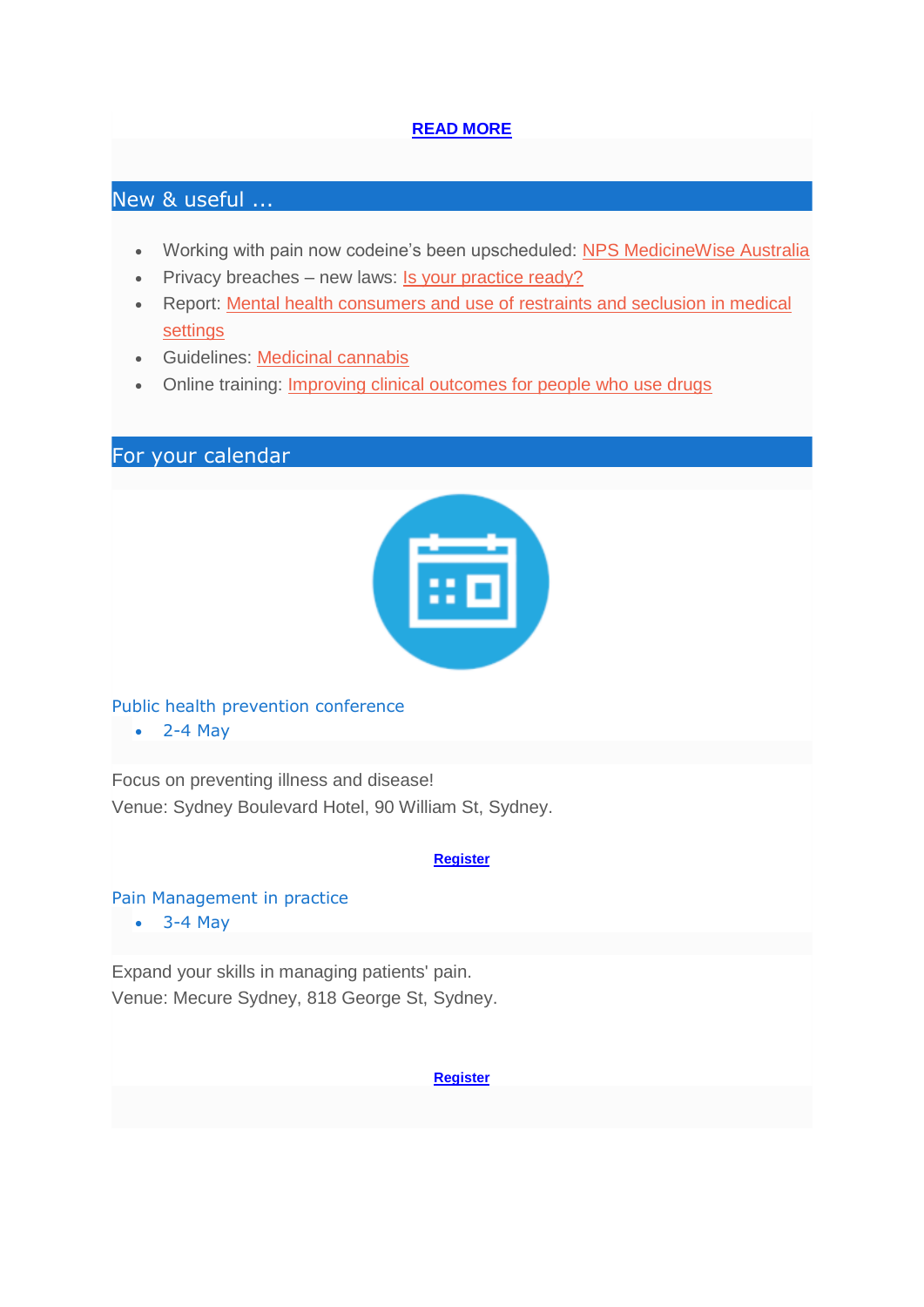#### **[READ MORE](http://medicalcouncilofnsw.createsend1.com/t/j-l-bitne-l-q/)**

## New & useful ...

- Working with pain now codeine's been upscheduled: [NPS MedicineWise Australia](http://medicalcouncilofnsw.createsend1.com/t/j-l-bitne-l-a/)
- Privacy breaches new laws: [Is your practice ready?](http://medicalcouncilofnsw.createsend1.com/t/j-l-bitne-l-f/)
- Report: [Mental health consumers and use of restraints and seclusion in medical](http://medicalcouncilofnsw.createsend1.com/t/j-l-bitne-l-z/)  [settings](http://medicalcouncilofnsw.createsend1.com/t/j-l-bitne-l-z/)
- Guidelines: [Medicinal cannabis](http://medicalcouncilofnsw.createsend1.com/t/j-l-bitne-l-v/)
- Online training: **[Improving clinical outcomes for people who use drugs](http://medicalcouncilofnsw.createsend1.com/t/j-l-bitne-l-e/)**

For your calendar



Public health prevention conference

 $\bullet$  2-4 May

Focus on preventing illness and disease! Venue: Sydney Boulevard Hotel, 90 William St, Sydney.

#### **[Register](http://medicalcouncilofnsw.createsend1.com/t/j-l-bitne-l-s/)**

#### Pain Management in practice

3-4 May

Expand your skills in managing patients' pain. Venue: Mecure Sydney, 818 George St, Sydney.

**[Register](http://medicalcouncilofnsw.createsend1.com/t/j-l-bitne-l-g/)**